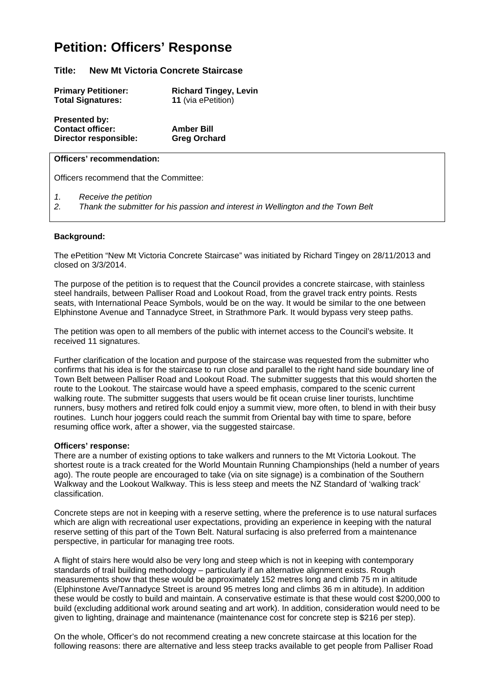# **Petition: Officers' Response**

## **Title: New Mt Victoria Concrete Staircase**

| <b>Primary Petitioner:</b>                                               | <b>Richard Tingey, Levin</b>             |
|--------------------------------------------------------------------------|------------------------------------------|
| <b>Total Signatures:</b>                                                 | 11 (via ePetition)                       |
| <b>Presented by:</b><br><b>Contact officer:</b><br>Director responsible: | <b>Amber Bill</b><br><b>Greg Orchard</b> |

## **Officers' recommendation:**

Officers recommend that the Committee:

*1. Receive the petition* 

*2. Thank the submitter for his passion and interest in Wellington and the Town Belt* 

#### **Background:**

The ePetition "New Mt Victoria Concrete Staircase" was initiated by Richard Tingey on 28/11/2013 and closed on 3/3/2014.

The purpose of the petition is to request that the Council provides a concrete staircase, with stainless steel handrails, between Palliser Road and Lookout Road, from the gravel track entry points. Rests seats, with International Peace Symbols, would be on the way. It would be similar to the one between Elphinstone Avenue and Tannadyce Street, in Strathmore Park. It would bypass very steep paths.

The petition was open to all members of the public with internet access to the Council's website. It received 11 signatures.

Further clarification of the location and purpose of the staircase was requested from the submitter who confirms that his idea is for the staircase to run close and parallel to the right hand side boundary line of Town Belt between Palliser Road and Lookout Road. The submitter suggests that this would shorten the route to the Lookout. The staircase would have a speed emphasis, compared to the scenic current walking route. The submitter suggests that users would be fit ocean cruise liner tourists, lunchtime runners, busy mothers and retired folk could enjoy a summit view, more often, to blend in with their busy routines. Lunch hour joggers could reach the summit from Oriental bay with time to spare, before resuming office work, after a shower, via the suggested staircase.

#### **Officers' response:**

There are a number of existing options to take walkers and runners to the Mt Victoria Lookout. The shortest route is a track created for the World Mountain Running Championships (held a number of years ago). The route people are encouraged to take (via on site signage) is a combination of the Southern Walkway and the Lookout Walkway. This is less steep and meets the NZ Standard of 'walking track' classification.

Concrete steps are not in keeping with a reserve setting, where the preference is to use natural surfaces which are align with recreational user expectations, providing an experience in keeping with the natural reserve setting of this part of the Town Belt. Natural surfacing is also preferred from a maintenance perspective, in particular for managing tree roots.

A flight of stairs here would also be very long and steep which is not in keeping with contemporary standards of trail building methodology – particularly if an alternative alignment exists. Rough measurements show that these would be approximately 152 metres long and climb 75 m in altitude (Elphinstone Ave/Tannadyce Street is around 95 metres long and climbs 36 m in altitude). In addition these would be costly to build and maintain. A conservative estimate is that these would cost \$200,000 to build (excluding additional work around seating and art work). In addition, consideration would need to be given to lighting, drainage and maintenance (maintenance cost for concrete step is \$216 per step).

On the whole, Officer's do not recommend creating a new concrete staircase at this location for the following reasons: there are alternative and less steep tracks available to get people from Palliser Road